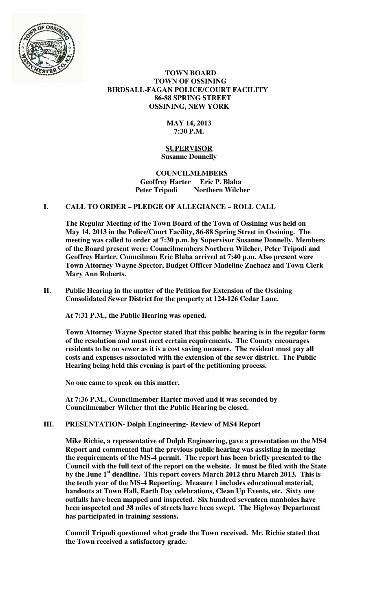

#### **TOWN BOARD TOWN OF OSSINING BIRDSALL-FAGAN POLICE/COURT FACILITY 86-88 SPRING STREET OSSINING, NEW YORK**

#### **MAY 14, 2013 7:30 P.M.**

#### **SUPERVISOR Susanne Donnelly**

#### **COUNCILMEMBERS Geoffrey Harter Eric P. Blaha Northern Wilcher**

## **I. CALL TO ORDER – PLEDGE OF ALLEGIANCE – ROLL CALL**

**The Regular Meeting of the Town Board of the Town of Ossining was held on May 14, 2013 in the Police/Court Facility, 86-88 Spring Street in Ossining. The meeting was called to order at 7:30 p.m. by Supervisor Susanne Donnelly. Members of the Board present were: Councilmembers Northern Wilcher, Peter Tripodi and Geoffrey Harter. Councilman Eric Blaha arrived at 7:40 p.m. Also present were Town Attorney Wayne Spector, Budget Officer Madeline Zachacz and Town Clerk Mary Ann Roberts.** 

**II. Public Hearing in the matter of the Petition for Extension of the Ossining Consolidated Sewer District for the property at 124-126 Cedar Lane.**

**At 7:31 P.M., the Public Hearing was opened.** 

**Town Attorney Wayne Spector stated that this public hearing is in the regular form of the resolution and must meet certain requirements. The County encourages residents to be on sewer as it is a cost saving measure. The resident must pay all costs and expenses associated with the extension of the sewer district. The Public Hearing being held this evening is part of the petitioning process.** 

**No one came to speak on this matter.** 

**At 7:36 P.M., Councilmember Harter moved and it was seconded by Councilmember Wilcher that the Public Hearing be closed.** 

**III. PRESENTATION- Dolph Engineering- Review of MS4 Report** 

**Mike Richie, a representative of Dolph Engineering, gave a presentation on the MS4 Report and commented that the previous public hearing was assisting in meeting the requirements of the MS-4 permit. The report has been briefly presented to the Council with the full text of the report on the website. It must be filed with the State by the June 1st deadline. This report covers March 2012 thru March 2013. This is the tenth year of the MS-4 Reporting. Measure 1 includes educational material, handouts at Town Hall, Earth Day celebrations, Clean Up Events, etc. Sixty one outfalls have been mapped and inspected. Six hundred seventeen manholes have been inspected and 38 miles of streets have been swept. The Highway Department has participated in training sessions.** 

**Council Tripodi questioned what grade the Town received. Mr. Richie stated that the Town received a satisfactory grade.**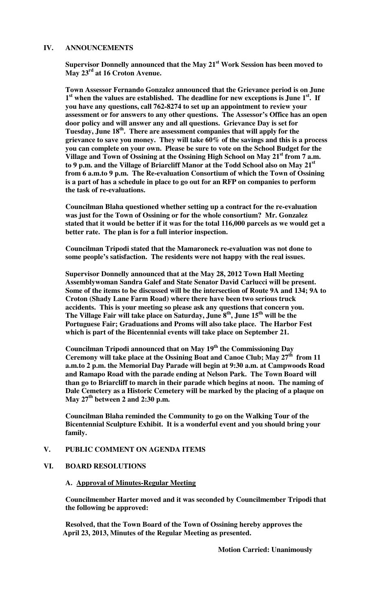#### **IV. ANNOUNCEMENTS**

**Supervisor Donnelly announced that the May 21st Work Session has been moved to May 23rd at 16 Croton Avenue.** 

**Town Assessor Fernando Gonzalez announced that the Grievance period is on June 1 st when the values are established. The deadline for new exceptions is June 1st. If you have any questions, call 762-8274 to set up an appointment to review your assessment or for answers to any other questions. The Assessor's Office has an open door policy and will answer any and all questions. Grievance Day is set for Tuesday, June 18th. There are assessment companies that will apply for the grievance to save you money. They will take 60% of the savings and this is a process you can complete on your own. Please be sure to vote on the School Budget for the Village and Town of Ossining at the Ossining High School on May 21st from 7 a.m. to 9 p.m. and the Village of Briarcliff Manor at the Todd School also on May 21st from 6 a.m.to 9 p.m. The Re-evaluation Consortium of which the Town of Ossining is a part of has a schedule in place to go out for an RFP on companies to perform the task of re-evaluations.** 

**Councilman Blaha questioned whether setting up a contract for the re-evaluation was just for the Town of Ossining or for the whole consortium? Mr. Gonzalez stated that it would be better if it was for the total 116,000 parcels as we would get a better rate. The plan is for a full interior inspection.** 

**Councilman Tripodi stated that the Mamaroneck re-evaluation was not done to some people's satisfaction. The residents were not happy with the real issues.** 

**Supervisor Donnelly announced that at the May 28, 2012 Town Hall Meeting Assemblywoman Sandra Galef and State Senator David Carlucci will be present. Some of the items to be discussed will be the intersection of Route 9A and 134; 9A to Croton (Shady Lane Farm Road) where there have been two serious truck accidents. This is your meeting so please ask any questions that concern you. The Village Fair will take place on Saturday, June 8 th, June 15th will be the Portuguese Fair; Graduations and Proms will also take place. The Harbor Fest which is part of the Bicentennial events will take place on September 21.** 

**Councilman Tripodi announced that on May 19th the Commissioning Day Ceremony will take place at the Ossining Boat and Canoe Club; May 27th from 11 a.m.to 2 p.m. the Memorial Day Parade will begin at 9:30 a.m. at Campwoods Road and Ramapo Road with the parade ending at Nelson Park. The Town Board will than go to Briarcliff to march in their parade which begins at noon. The naming of Dale Cemetery as a Historic Cemetery will be marked by the placing of a plaque on May 27th between 2 and 2:30 p.m.** 

**Councilman Blaha reminded the Community to go on the Walking Tour of the Bicentennial Sculpture Exhibit. It is a wonderful event and you should bring your family.** 

#### **V. PUBLIC COMMENT ON AGENDA ITEMS**

#### **VI. BOARD RESOLUTIONS**

#### **A. Approval of Minutes-Regular Meeting**

**Councilmember Harter moved and it was seconded by Councilmember Tripodi that the following be approved:** 

**Resolved, that the Town Board of the Town of Ossining hereby approves the April 23, 2013, Minutes of the Regular Meeting as presented.** 

 **Motion Carried: Unanimously**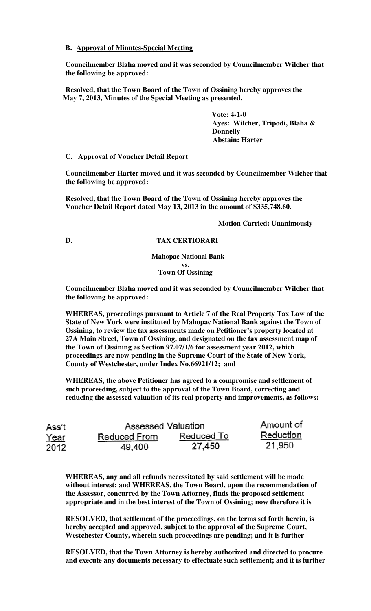#### **B. Approval of Minutes-Special Meeting**

**Councilmember Blaha moved and it was seconded by Councilmember Wilcher that the following be approved:** 

**Resolved, that the Town Board of the Town of Ossining hereby approves the May 7, 2013, Minutes of the Special Meeting as presented.** 

> **Vote: 4-1-0 Ayes: Wilcher, Tripodi, Blaha & Donnelly Abstain: Harter**

#### **C. Approval of Voucher Detail Report**

**Councilmember Harter moved and it was seconded by Councilmember Wilcher that the following be approved:** 

**Resolved, that the Town Board of the Town of Ossining hereby approves the Voucher Detail Report dated May 13, 2013 in the amount of \$335,748.60.** 

#### **Motion Carried: Unanimously**

#### **D. TAX CERTIORARI**

 **Mahopac National Bank vs. Town Of Ossining**

**Councilmember Blaha moved and it was seconded by Councilmember Wilcher that the following be approved:** 

**WHEREAS, proceedings pursuant to Article 7 of the Real Property Tax Law of the State of New York were instituted by Mahopac National Bank against the Town of Ossining, to review the tax assessments made on Petitioner's property located at 27A Main Street, Town of Ossining, and designated on the tax assessment map of the Town of Ossining as Section 97.07/1/6 for assessment year 2012, which proceedings are now pending in the Supreme Court of the State of New York, County of Westchester, under Index No.66921/12; and** 

**WHEREAS, the above Petitioner has agreed to a compromise and settlement of such proceeding, subject to the approval of the Town Board, correcting and reducing the assessed valuation of its real property and improvements, as follows:** 

| Ass't       | Assessed Valuation |            | Amount of |
|-------------|--------------------|------------|-----------|
| <u>Year</u> | Reduced From       | Reduced To | Reduction |
| 2012        | 49,400             | 27,450     | 21,950    |

**WHEREAS, any and all refunds necessitated by said settlement will be made without interest; and WHEREAS, the Town Board, upon the recommendation of the Assessor, concurred by the Town Attorney, finds the proposed settlement appropriate and in the best interest of the Town of Ossining; now therefore it is** 

**RESOLVED, that settlement of the proceedings, on the terms set forth herein, is hereby accepted and approved, subject to the approval of the Supreme Court, Westchester County, wherein such proceedings are pending; and it is further** 

**RESOLVED, that the Town Attorney is hereby authorized and directed to procure and execute any documents necessary to effectuate such settlement; and it is further**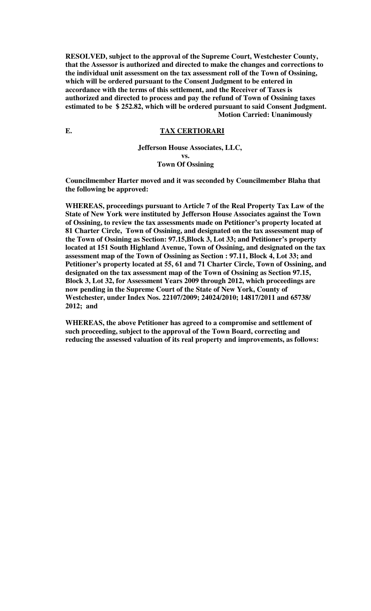**RESOLVED, subject to the approval of the Supreme Court, Westchester County, that the Assessor is authorized and directed to make the changes and corrections to the individual unit assessment on the tax assessment roll of the Town of Ossining, which will be ordered pursuant to the Consent Judgment to be entered in accordance with the terms of this settlement, and the Receiver of Taxes is authorized and directed to process and pay the refund of Town of Ossining taxes estimated to be \$ 252.82, which will be ordered pursuant to said Consent Judgment. Motion Carried: Unanimously** 

#### **E. TAX CERTIORARI**

#### **Jefferson House Associates, LLC, vs. Town Of Ossining**

**Councilmember Harter moved and it was seconded by Councilmember Blaha that the following be approved:** 

**WHEREAS, proceedings pursuant to Article 7 of the Real Property Tax Law of the State of New York were instituted by Jefferson House Associates against the Town of Ossining, to review the tax assessments made on Petitioner's property located at 81 Charter Circle, Town of Ossining, and designated on the tax assessment map of the Town of Ossining as Section: 97.15,Block 3, Lot 33; and Petitioner's property located at 151 South Highland Avenue, Town of Ossining, and designated on the tax assessment map of the Town of Ossining as Section : 97.11, Block 4, Lot 33; and Petitioner's property located at 55, 61 and 71 Charter Circle, Town of Ossining, and designated on the tax assessment map of the Town of Ossining as Section 97.15, Block 3, Lot 32, for Assessment Years 2009 through 2012, which proceedings are now pending in the Supreme Court of the State of New York, County of Westchester, under Index Nos. 22107/2009; 24024/2010; 14817/2011 and 65738/ 2012; and** 

**WHEREAS, the above Petitioner has agreed to a compromise and settlement of such proceeding, subject to the approval of the Town Board, correcting and reducing the assessed valuation of its real property and improvements, as follows:**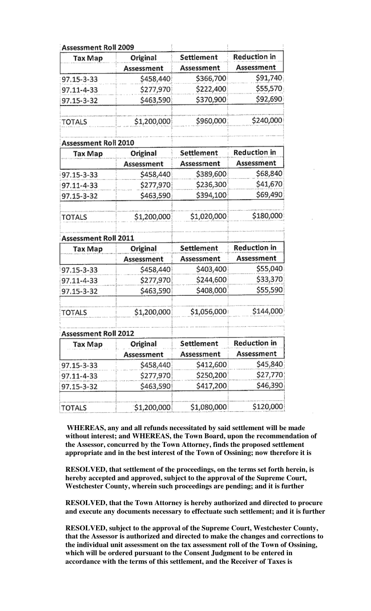| Assessment Roll 2009 |             |              |                     |
|----------------------|-------------|--------------|---------------------|
| Tax Map              | Original    | Settlement   | Reduction in        |
|                      | Assessment  | Assessment   | Assessment          |
| 97.15-3-33           | \$458,440   | \$366,700    | \$91,740            |
| 97.11-4-33           | \$277,970   | \$222,400    | \$55,570            |
| 97.15-3-32           | \$463,590   | \$370,900    | \$92,690            |
| TOTALS               | \$1,200,000 | \$960,000    | \$240,000           |
| Assessment Roll 2010 |             |              |                     |
| Tax Map              | Original    | Settlement   | Reduction in        |
|                      | Assessment  | Assessment   | Assessment          |
| 97.15-3-33           | \$458,440   | \$389,600    | \$68,840            |
| 97.11-4-33           | \$277,970   | \$236,300    | \$41,670            |
| 97.15-3-32           | \$463,590   | \$394,100    | \$69,490            |
| TOTALS               | \$1,200,000 | \$1,020,000  | \$180,000           |
| Assessment Roll 2011 |             |              |                     |
| Tax Map              | Original    | Settlement   | Reduction in        |
|                      | Assessment  | Assessment   | Assessment          |
| 97.15-3-33           | \$458,440   | \$403,400    | \$55,040            |
| 97.11-4-33           | \$277,970   | \$244,600    | \$33,370            |
| 97.15-3-32           | \$463,590   | \$408,000    | \$55,590            |
| TOTALS               | \$1,200,000 | \$1,056,000! | \$144,000           |
| Assessment Roll 2012 |             |              |                     |
| Tax Map              | Original    | Settlement   | <b>Reduction in</b> |
|                      | Assessment  | Assessment   | Assessment          |
| 97.15-3-33           | \$458,440   | \$412,600    | \$45,840            |
| 97.11-4-33           | \$277,970   | \$250,200    | \$27,770            |
| 97.15-3-32           | \$463,590   | \$417,200    | \$46,390            |
| TOTALS               | \$1,200,000 | \$1,080,000  | \$120,000           |

**WHEREAS, any and all refunds necessitated by said settlement will be made without interest; and WHEREAS, the Town Board, upon the recommendation of the Assessor, concurred by the Town Attorney, finds the proposed settlement appropriate and in the best interest of the Town of Ossining; now therefore it is** 

**RESOLVED, that settlement of the proceedings, on the terms set forth herein, is hereby accepted and approved, subject to the approval of the Supreme Court, Westchester County, wherein such proceedings are pending; and it is further** 

**RESOLVED, that the Town Attorney is hereby authorized and directed to procure and execute any documents necessary to effectuate such settlement; and it is further** 

**RESOLVED, subject to the approval of the Supreme Court, Westchester County, that the Assessor is authorized and directed to make the changes and corrections to the individual unit assessment on the tax assessment roll of the Town of Ossining, which will be ordered pursuant to the Consent Judgment to be entered in accordance with the terms of this settlement, and the Receiver of Taxes is**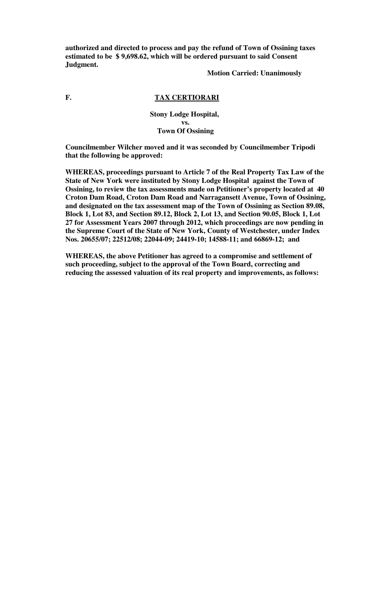**authorized and directed to process and pay the refund of Town of Ossining taxes estimated to be \$ 9,698.62, which will be ordered pursuant to said Consent Judgment.** 

#### **Motion Carried: Unanimously**

# **F. TAX CERTIORARI**

**Stony Lodge Hospital, vs. Town Of Ossining**

**Councilmember Wilcher moved and it was seconded by Councilmember Tripodi that the following be approved:** 

**WHEREAS, proceedings pursuant to Article 7 of the Real Property Tax Law of the State of New York were instituted by Stony Lodge Hospital against the Town of Ossining, to review the tax assessments made on Petitioner's property located at 40 Croton Dam Road, Croton Dam Road and Narragansett Avenue, Town of Ossining, and designated on the tax assessment map of the Town of Ossining as Section 89.08, Block 1, Lot 83, and Section 89.12, Block 2, Lot 13, and Section 90.05, Block 1, Lot 27 for Assessment Years 2007 through 2012, which proceedings are now pending in the Supreme Court of the State of New York, County of Westchester, under Index Nos. 20655/07; 22512/08; 22044-09; 24419-10; 14588-11; and 66869-12; and** 

**WHEREAS, the above Petitioner has agreed to a compromise and settlement of such proceeding, subject to the approval of the Town Board, correcting and reducing the assessed valuation of its real property and improvements, as follows:**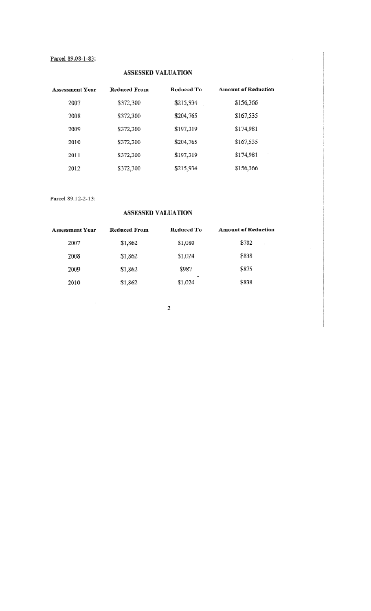# Parcel 89.08-1-83:

## ASSESSED VALUATION

| <b>Assessment Year</b> | <b>Reduced From</b> | Reduced To | <b>Amount of Reduction</b> |
|------------------------|---------------------|------------|----------------------------|
| 2007                   | \$372,300           | \$215,934  | \$156,366                  |
| 2008                   | \$372,300           | \$204,765  | \$167,535                  |
| 2009                   | \$372,300           | \$197,319  | \$174,981                  |
| 2010                   | \$372,300           | \$204,765  | \$167,535                  |
| 2011                   | \$372,300           | \$197,319  | \$174,981                  |
| 2012                   | \$372,300           | \$215,934  | \$156,366                  |

## Parcel 89.12-2-13:

## ASSESSED VALUATION

| <b>Assessment Year</b> | Reduced From | Reduced To            | <b>Amount of Reduction</b> |
|------------------------|--------------|-----------------------|----------------------------|
| 2007                   | \$1,862      | \$1,080               | \$782<br>$\epsilon$        |
| 2008                   | \$1,862      | \$1,024               | \$838                      |
| 2009                   | \$1,862      | \$987                 | \$875                      |
| 2010                   | \$1,862      | <b>COL</b><br>\$1,024 | \$838                      |

 $\bar{2}$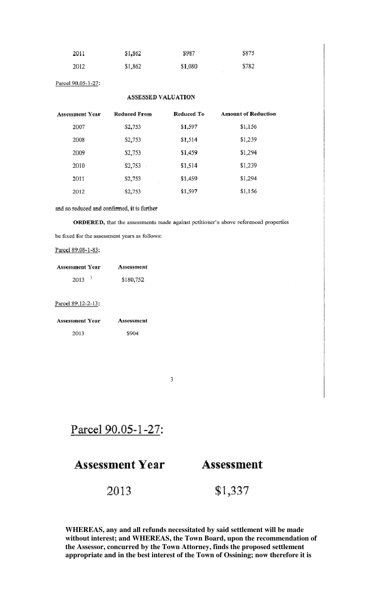| 2011 | \$1,862 | \$987   | \$875 |
|------|---------|---------|-------|
| 2012 | \$1,862 | \$1,080 | \$782 |

Parcel 90.05-1-27:

# ASSESSED VALUATION

| Assessment Year | <b>Reduced From</b> | Reduced To | <b>Amount of Reduction</b> |
|-----------------|---------------------|------------|----------------------------|
| 2007            | \$2,753             | \$1,597    | \$1,1.56                   |
| 2008            | \$2,753             | \$1,514    | \$1,239                    |
| 2009            | \$2,753             | \$1,459    | \$1,294                    |
| 2010            | \$2,753             | \$1,514    | \$1,239                    |
| 2011            | \$2,753             | \$1,459    | \$1,294                    |
| 2012            | \$2,753             | \$1,597    | \$1,156                    |

and so reduced and confirmed, it is further

ORDERED, that the assessments made against petitioner's above referenced properties

be fixed for the assessment years as follows:

Parcel 89.08-1-83:

| <b>Assessment Year</b> | Assessment |
|------------------------|------------|
| 2013                   | \$180,752  |

Parcel 89.12-2-13:

| Assessment Year | Assessment |
|-----------------|------------|
| 2013.           | 3904       |

 $\overline{3}$ 

Parcel 90.05-1-27:

# **Assessment Year**

# **Assessment**

2013

\$1,337

WHEREAS, any and all refunds necessitated by said settlement will be made without interest; and WHEREAS, the Town Board, upon the recommendation of the Assessor, concurred by the Town Attorney, finds the proposed settlement appropriate and in the best interest of the Town of Ossining; now therefore it is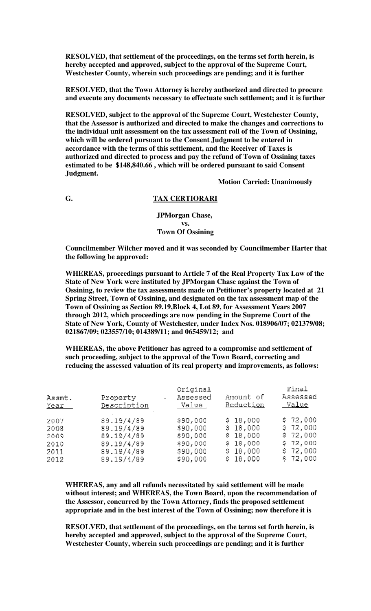**RESOLVED, that settlement of the proceedings, on the terms set forth herein, is hereby accepted and approved, subject to the approval of the Supreme Court, Westchester County, wherein such proceedings are pending; and it is further** 

**RESOLVED, that the Town Attorney is hereby authorized and directed to procure and execute any documents necessary to effectuate such settlement; and it is further** 

**RESOLVED, subject to the approval of the Supreme Court, Westchester County, that the Assessor is authorized and directed to make the changes and corrections to the individual unit assessment on the tax assessment roll of the Town of Ossining, which will be ordered pursuant to the Consent Judgment to be entered in accordance with the terms of this settlement, and the Receiver of Taxes is authorized and directed to process and pay the refund of Town of Ossining taxes estimated to be \$148,840.66 , which will be ordered pursuant to said Consent Judgment.** 

 **Motion Carried: Unanimously** 

# **G. TAX CERTIORARI**

**JPMorgan Chase, vs. Town Of Ossining**

**Councilmember Wilcher moved and it was seconded by Councilmember Harter that the following be approved:** 

**WHEREAS, proceedings pursuant to Article 7 of the Real Property Tax Law of the State of New York were instituted by JPMorgan Chase against the Town of Ossining, to review the tax assessments made on Petitioner's property located at 21 Spring Street, Town of Ossining, and designated on the tax assessment map of the Town of Ossining as Section 89.19,Block 4, Lot 89, for Assessment Years 2007 through 2012, which proceedings are now pending in the Supreme Court of the State of New York, County of Westchester, under Index Nos. 018906/07; 021379/08; 021867/09; 023557/10; 014389/11; and 065459/12; and** 

**WHEREAS, the above Petitioner has agreed to a compromise and settlement of such proceeding, subject to the approval of the Town Board, correcting and reducing the assessed valuation of its real property and improvements, as follows:** 

| Assmt.<br>Year | Property<br>$\omega_{\rm{max}}$<br>Description | Original<br>Assessed<br>Value | Amount of<br>Reduction | Final<br>Assessed<br>Value |
|----------------|------------------------------------------------|-------------------------------|------------------------|----------------------------|
| 2007           | 89.19/4/89                                     | \$90,000                      | \$18,000               | \$72,000                   |
| 2008           | 89.19/4/89                                     | \$90,000                      | \$18,000               | \$72,000                   |
| 2009           | 89.19/4/89                                     | \$90,000                      | \$18,000               | \$72,000                   |
| 2010           | 89.19/4/89                                     | \$90,000                      | \$18,000               | \$72,000                   |
| 2011           | 89.19/4/89                                     | \$90,000                      | \$18,000               | \$72,000                   |
| 2012           | 89,19/4/89                                     | \$90,000                      | \$18,000               | \$72,000                   |

**WHEREAS, any and all refunds necessitated by said settlement will be made without interest; and WHEREAS, the Town Board, upon the recommendation of the Assessor, concurred by the Town Attorney, finds the proposed settlement appropriate and in the best interest of the Town of Ossining; now therefore it is** 

**RESOLVED, that settlement of the proceedings, on the terms set forth herein, is hereby accepted and approved, subject to the approval of the Supreme Court, Westchester County, wherein such proceedings are pending; and it is further**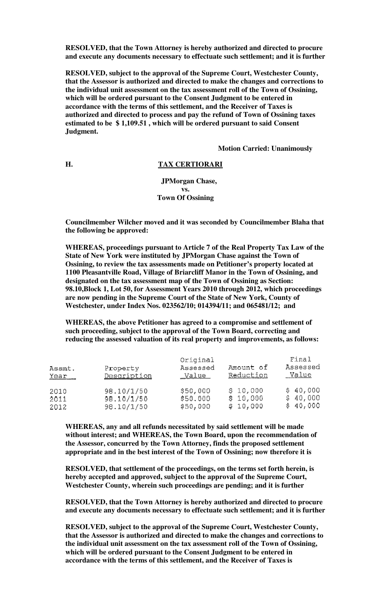**RESOLVED, that the Town Attorney is hereby authorized and directed to procure and execute any documents necessary to effectuate such settlement; and it is further** 

**RESOLVED, subject to the approval of the Supreme Court, Westchester County, that the Assessor is authorized and directed to make the changes and corrections to the individual unit assessment on the tax assessment roll of the Town of Ossining, which will be ordered pursuant to the Consent Judgment to be entered in accordance with the terms of this settlement, and the Receiver of Taxes is authorized and directed to process and pay the refund of Town of Ossining taxes estimated to be \$ 1,109.51 , which will be ordered pursuant to said Consent Judgment.** 

 **Motion Carried: Unanimously** 

#### **H. TAX CERTIORARI**

 **JPMorgan Chase, vs. Town Of Ossining**

**Councilmember Wilcher moved and it was seconded by Councilmember Blaha that the following be approved:** 

**WHEREAS, proceedings pursuant to Article 7 of the Real Property Tax Law of the State of New York were instituted by JPMorgan Chase against the Town of Ossining, to review the tax assessments made on Petitioner's property located at 1100 Pleasantville Road, Village of Briarcliff Manor in the Town of Ossining, and designated on the tax assessment map of the Town of Ossining as Section: 98.10,Block 1, Lot 50, for Assessment Years 2010 through 2012, which proceedings are now pending in the Supreme Court of the State of New York, County of Westchester, under Index Nos. 023562/10; 014394/11; and 065481/12; and** 

**WHEREAS, the above Petitioner has agreed to a compromise and settlement of such proceeding, subject to the approval of the Town Board, correcting and reducing the assessed valuation of its real property and improvements, as follows:** 

| Assmt.<br><u>Year</u> | Property<br>Description | Original<br>Assessed<br>Value | Amount of<br>Reduction | Final<br>Assessed<br>Value |
|-----------------------|-------------------------|-------------------------------|------------------------|----------------------------|
| 2010                  | 98.10/1/50              | \$50,000                      | \$10,000               | \$40,000                   |
| 2011                  | 98.10/1/50              | \$50.000                      | \$10,000               | \$40,000                   |
| 2012                  | 98.10/1/50              | \$50,000                      | \$10,000               | \$40,000                   |

**WHEREAS, any and all refunds necessitated by said settlement will be made without interest; and WHEREAS, the Town Board, upon the recommendation of the Assessor, concurred by the Town Attorney, finds the proposed settlement appropriate and in the best interest of the Town of Ossining; now therefore it is** 

**RESOLVED, that settlement of the proceedings, on the terms set forth herein, is hereby accepted and approved, subject to the approval of the Supreme Court, Westchester County, wherein such proceedings are pending; and it is further** 

**RESOLVED, that the Town Attorney is hereby authorized and directed to procure and execute any documents necessary to effectuate such settlement; and it is further** 

**RESOLVED, subject to the approval of the Supreme Court, Westchester County, that the Assessor is authorized and directed to make the changes and corrections to the individual unit assessment on the tax assessment roll of the Town of Ossining, which will be ordered pursuant to the Consent Judgment to be entered in accordance with the terms of this settlement, and the Receiver of Taxes is**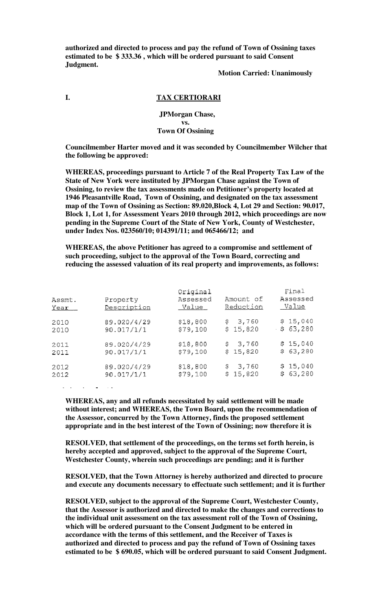**authorized and directed to process and pay the refund of Town of Ossining taxes estimated to be \$ 333.36 , which will be ordered pursuant to said Consent Judgment.** 

#### **Motion Carried: Unanimously**

#### **I. TAX CERTIORARI**

#### **JPMorgan Chase, vs. Town Of Ossining**

**Councilmember Harter moved and it was seconded by Councilmember Wilcher that the following be approved:** 

**WHEREAS, proceedings pursuant to Article 7 of the Real Property Tax Law of the State of New York were instituted by JPMorgan Chase against the Town of Ossining, to review the tax assessments made on Petitioner's property located at 1946 Pleasantville Road, Town of Ossining, and designated on the tax assessment map of the Town of Ossining as Section: 89.020,Block 4, Lot 29 and Section: 90.017, Block 1, Lot 1, for Assessment Years 2010 through 2012, which proceedings are now pending in the Supreme Court of the State of New York, County of Westchester, under Index Nos. 023560/10; 014391/11; and 065466/12; and** 

**WHEREAS, the above Petitioner has agreed to a compromise and settlement of such proceeding, subject to the approval of the Town Board, correcting and reducing the assessed valuation of its real property and improvements, as follows:** 

| Assmt.<br>Year | Property<br>Description | Original<br>Assessed<br>Value | Amount of<br>Reduction | Final<br>Assessed<br>Value |
|----------------|-------------------------|-------------------------------|------------------------|----------------------------|
| 2010           | 89.020/4/29             | \$18,800                      | \$3,760                | \$15,040                   |
| 2010           | 90.017/1/1              | \$79,100                      | \$15,820               | $-563,280$                 |
| 2011           | 89.020/4/29             | \$18,800                      | \$3,760                | \$15,040                   |
| 2011           | 90.017/1/1              | \$79,100                      | \$15,820               | \$63,280                   |
| 2012           | 89,020/4/29             | \$18,800                      | \$3,760                | \$15,040                   |
| 2012           | 90.017/1/1              | \$79,100                      | \$15,820               | \$63,280                   |

**WHEREAS, any and all refunds necessitated by said settlement will be made without interest; and WHEREAS, the Town Board, upon the recommendation of the Assessor, concurred by the Town Attorney, finds the proposed settlement appropriate and in the best interest of the Town of Ossining; now therefore it is** 

**RESOLVED, that settlement of the proceedings, on the terms set forth herein, is hereby accepted and approved, subject to the approval of the Supreme Court, Westchester County, wherein such proceedings are pending; and it is further** 

**RESOLVED, that the Town Attorney is hereby authorized and directed to procure and execute any documents necessary to effectuate such settlement; and it is further** 

**RESOLVED, subject to the approval of the Supreme Court, Westchester County, that the Assessor is authorized and directed to make the changes and corrections to the individual unit assessment on the tax assessment roll of the Town of Ossining, which will be ordered pursuant to the Consent Judgment to be entered in accordance with the terms of this settlement, and the Receiver of Taxes is authorized and directed to process and pay the refund of Town of Ossining taxes estimated to be \$ 690.05, which will be ordered pursuant to said Consent Judgment.**